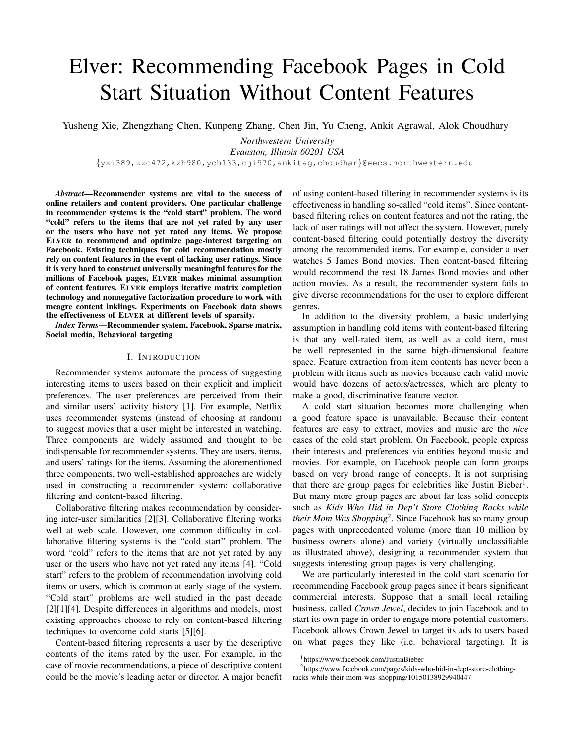# Elver: Recommending Facebook Pages in Cold Start Situation Without Content Features

Yusheng Xie, Zhengzhang Chen, Kunpeng Zhang, Chen Jin, Yu Cheng, Ankit Agrawal, Alok Choudhary

*Northwestern University Evanston, Illinois 60201 USA*

{yxi389,zzc472,kzh980,ych133,cji970,ankitag,choudhar}@eecs.northwestern.edu

*Abstract*—Recommender systems are vital to the success of online retailers and content providers. One particular challenge in recommender systems is the "cold start" problem. The word "cold" refers to the items that are not yet rated by any user or the users who have not yet rated any items. We propose ELVER to recommend and optimize page-interest targeting on Facebook. Existing techniques for cold recommendation mostly rely on content features in the event of lacking user ratings. Since it is very hard to construct universally meaningful features for the millions of Facebook pages, ELVER makes minimal assumption of content features. ELVER employs iterative matrix completion technology and nonnegative factorization procedure to work with meagre content inklings. Experiments on Facebook data shows the effectiveness of ELVER at different levels of sparsity.

*Index Terms*—Recommender system, Facebook, Sparse matrix, Social media, Behavioral targeting

#### I. INTRODUCTION

Recommender systems automate the process of suggesting interesting items to users based on their explicit and implicit preferences. The user preferences are perceived from their and similar users' activity history [1]. For example, Netflix uses recommender systems (instead of choosing at random) to suggest movies that a user might be interested in watching. Three components are widely assumed and thought to be indispensable for recommender systems. They are users, items, and users' ratings for the items. Assuming the aforementioned three components, two well-established approaches are widely used in constructing a recommender system: collaborative filtering and content-based filtering.

Collaborative filtering makes recommendation by considering inter-user similarities [2][3]. Collaborative filtering works well at web scale. However, one common difficulty in collaborative filtering systems is the "cold start" problem. The word "cold" refers to the items that are not yet rated by any user or the users who have not yet rated any items [4]. "Cold start" refers to the problem of recommendation involving cold items or users, which is common at early stage of the system. "Cold start" problems are well studied in the past decade [2][1][4]. Despite differences in algorithms and models, most existing approaches choose to rely on content-based filtering techniques to overcome cold starts [5][6].

Content-based filtering represents a user by the descriptive contents of the items rated by the user. For example, in the case of movie recommendations, a piece of descriptive content could be the movie's leading actor or director. A major benefit of using content-based filtering in recommender systems is its effectiveness in handling so-called "cold items". Since contentbased filtering relies on content features and not the rating, the lack of user ratings will not affect the system. However, purely content-based filtering could potentially destroy the diversity among the recommended items. For example, consider a user watches 5 James Bond movies. Then content-based filtering would recommend the rest 18 James Bond movies and other action movies. As a result, the recommender system fails to give diverse recommendations for the user to explore different genres.

In addition to the diversity problem, a basic underlying assumption in handling cold items with content-based filtering is that any well-rated item, as well as a cold item, must be well represented in the same high-dimensional feature space. Feature extraction from item contents has never been a problem with items such as movies because each valid movie would have dozens of actors/actresses, which are plenty to make a good, discriminative feature vector.

A cold start situation becomes more challenging when a good feature space is unavailable. Because their content features are easy to extract, movies and music are the *nice* cases of the cold start problem. On Facebook, people express their interests and preferences via entities beyond music and movies. For example, on Facebook people can form groups based on very broad range of concepts. It is not surprising that there are group pages for celebrities like Justin Bieber<sup>1</sup>. But many more group pages are about far less solid concepts such as *Kids Who Hid in Dep't Store Clothing Racks while their Mom Was Shopping*<sup>2</sup> . Since Facebook has so many group pages with unprecedented volume (more than 10 million by business owners alone) and variety (virtually unclassifiable as illustrated above), designing a recommender system that suggests interesting group pages is very challenging.

We are particularly interested in the cold start scenario for recommending Facebook group pages since it bears significant commercial interests. Suppose that a small local retailing business, called *Crown Jewel*, decides to join Facebook and to start its own page in order to engage more potential customers. Facebook allows Crown Jewel to target its ads to users based on what pages they like (i.e. behavioral targeting). It is

<sup>1</sup>https://www.facebook.com/JustinBieber

<sup>2</sup>https://www.facebook.com/pages/kids-who-hid-in-dept-store-clothingracks-while-their-mom-was-shopping/10150138929940447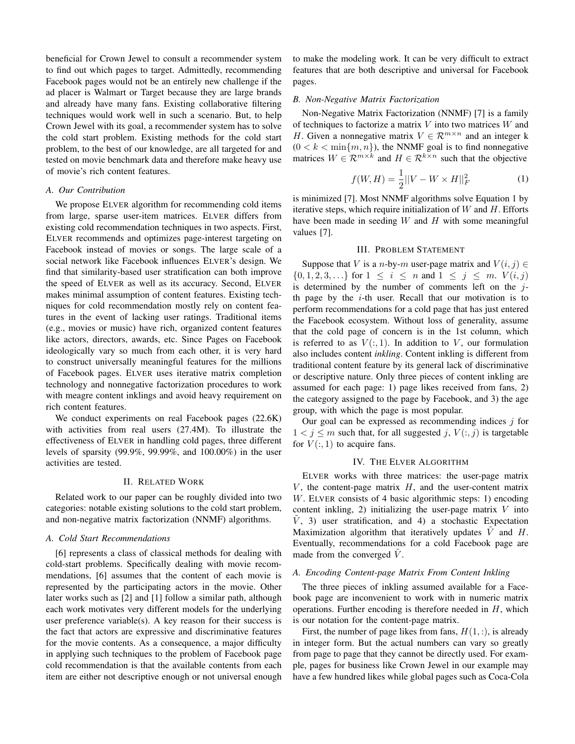beneficial for Crown Jewel to consult a recommender system to find out which pages to target. Admittedly, recommending Facebook pages would not be an entirely new challenge if the ad placer is Walmart or Target because they are large brands and already have many fans. Existing collaborative filtering techniques would work well in such a scenario. But, to help Crown Jewel with its goal, a recommender system has to solve the cold start problem. Existing methods for the cold start problem, to the best of our knowledge, are all targeted for and tested on movie benchmark data and therefore make heavy use of movie's rich content features.

## *A. Our Contribution*

We propose ELVER algorithm for recommending cold items from large, sparse user-item matrices. ELVER differs from existing cold recommendation techniques in two aspects. First, ELVER recommends and optimizes page-interest targeting on Facebook instead of movies or songs. The large scale of a social network like Facebook influences ELVER's design. We find that similarity-based user stratification can both improve the speed of ELVER as well as its accuracy. Second, ELVER makes minimal assumption of content features. Existing techniques for cold recommendation mostly rely on content features in the event of lacking user ratings. Traditional items (e.g., movies or music) have rich, organized content features like actors, directors, awards, etc. Since Pages on Facebook ideologically vary so much from each other, it is very hard to construct universally meaningful features for the millions of Facebook pages. ELVER uses iterative matrix completion technology and nonnegative factorization procedures to work with meagre content inklings and avoid heavy requirement on rich content features.

We conduct experiments on real Facebook pages (22.6K) with activities from real users (27.4M). To illustrate the effectiveness of ELVER in handling cold pages, three different levels of sparsity (99.9%, 99.99%, and 100.00%) in the user activities are tested.

## II. RELATED WORK

Related work to our paper can be roughly divided into two categories: notable existing solutions to the cold start problem, and non-negative matrix factorization (NNMF) algorithms.

## *A. Cold Start Recommendations*

[6] represents a class of classical methods for dealing with cold-start problems. Specifically dealing with movie recommendations, [6] assumes that the content of each movie is represented by the participating actors in the movie. Other later works such as [2] and [1] follow a similar path, although each work motivates very different models for the underlying user preference variable(s). A key reason for their success is the fact that actors are expressive and discriminative features for the movie contents. As a consequence, a major difficulty in applying such techniques to the problem of Facebook page cold recommendation is that the available contents from each item are either not descriptive enough or not universal enough to make the modeling work. It can be very difficult to extract features that are both descriptive and universal for Facebook pages.

## *B. Non-Negative Matrix Factorization*

Non-Negative Matrix Factorization (NNMF) [7] is a family of techniques to factorize a matrix  $V$  into two matrices  $W$  and H. Given a nonnegative matrix  $V \in \mathbb{R}^{m \times n}$  and an integer k  $(0 < k < \min\{m, n\})$ , the NNMF goal is to find nonnegative matrices  $W \in \mathbb{R}^{m \times k}$  and  $H \in \mathbb{R}^{k \times n}$  such that the objective

$$
f(W, H) = \frac{1}{2} ||V - W \times H||_F^2
$$
 (1)

is minimized [7]. Most NNMF algorithms solve Equation 1 by iterative steps, which require initialization of  $W$  and  $H$ . Efforts have been made in seeding  $W$  and  $H$  with some meaningful values [7].

#### III. PROBLEM STATEMENT

Suppose that V is a n-by-m user-page matrix and  $V(i, j) \in$  $\{0, 1, 2, 3, \ldots\}$  for  $1 \le i \le n$  and  $1 \le j \le m$ .  $V(i, j)$ is determined by the number of comments left on the  $j$ th page by the  $i$ -th user. Recall that our motivation is to perform recommendations for a cold page that has just entered the Facebook ecosystem. Without loss of generality, assume that the cold page of concern is in the 1st column, which is referred to as  $V(:, 1)$ . In addition to V, our formulation also includes content *inkling*. Content inkling is different from traditional content feature by its general lack of discriminative or descriptive nature. Only three pieces of content inkling are assumed for each page: 1) page likes received from fans, 2) the category assigned to the page by Facebook, and 3) the age group, with which the page is most popular.

Our goal can be expressed as recommending indices  $j$  for  $1 < j \leq m$  such that, for all suggested j,  $V(:, j)$  is targetable for  $V(:, 1)$  to acquire fans.

#### IV. THE ELVER ALGORITHM

ELVER works with three matrices: the user-page matrix  $V$ , the content-page matrix  $H$ , and the user-content matrix W. ELVER consists of 4 basic algorithmic steps: 1) encoding content inkling, 2) initializing the user-page matrix  $V$  into  $\tilde{V}$ , 3) user stratification, and 4) a stochastic Expectation Maximization algorithm that iteratively updates  $V$  and  $H$ . Eventually, recommendations for a cold Facebook page are made from the converged  $V$ .

## *A. Encoding Content-page Matrix From Content Inkling*

The three pieces of inkling assumed available for a Facebook page are inconvenient to work with in numeric matrix operations. Further encoding is therefore needed in  $H$ , which is our notation for the content-page matrix.

First, the number of page likes from fans,  $H(1, :)$ , is already in integer form. But the actual numbers can vary so greatly from page to page that they cannot be directly used. For example, pages for business like Crown Jewel in our example may have a few hundred likes while global pages such as Coca-Cola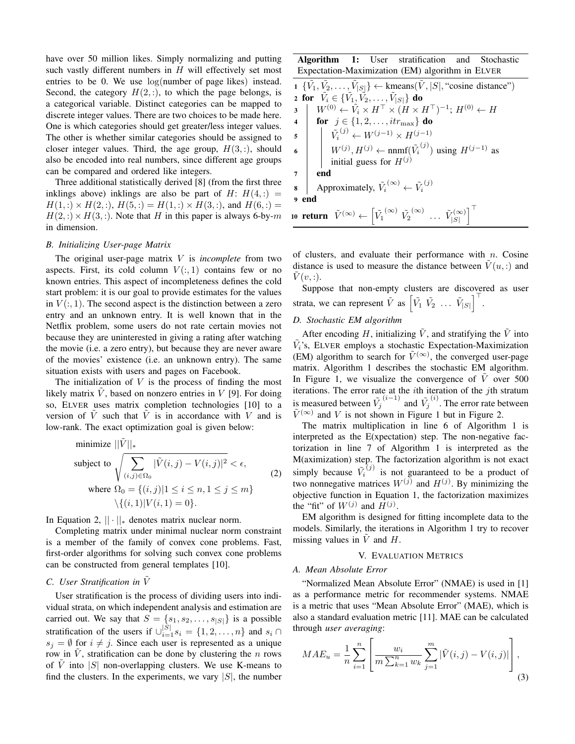have over 50 million likes. Simply normalizing and putting such vastly different numbers in  $H$  will effectively set most entries to be 0. We use log(number of page likes) instead. Second, the category  $H(2, :)$ , to which the page belongs, is a categorical variable. Distinct categories can be mapped to discrete integer values. There are two choices to be made here. One is which categories should get greater/less integer values. The other is whether similar categories should be assigned to closer integer values. Third, the age group,  $H(3, :)$ , should also be encoded into real numbers, since different age groups can be compared and ordered like integers.

Three additional statistically derived [8] (from the first three inklings above) inklings are also be part of  $H: H(4, :)=$  $H(1, :) \times H(2, :), H(5, :) = H(1, :) \times H(3, :),$  and  $H(6, :) =$  $H(2, :) \times H(3, :)$ . Note that H in this paper is always 6-by-m in dimension.

#### *B. Initializing User-page Matrix*

The original user-page matrix V is *incomplete* from two aspects. First, its cold column  $V(:, 1)$  contains few or no known entries. This aspect of incompleteness defines the cold start problem: it is our goal to provide estimates for the values in  $V(:, 1)$ . The second aspect is the distinction between a zero entry and an unknown entry. It is well known that in the Netflix problem, some users do not rate certain movies not because they are uninterested in giving a rating after watching the movie (i.e. a zero entry), but because they are never aware of the movies' existence (i.e. an unknown entry). The same situation exists with users and pages on Facebook.

The initialization of  $V$  is the process of finding the most likely matrix  $V$ , based on nonzero entries in  $V$  [9]. For doing so, ELVER uses matrix completion technologies [10] to a version of  $V$  such that  $V$  is in accordance with  $V$  and is low-rank. The exact optimization goal is given below:

minimize 
$$
||\tilde{V}||_{*}
$$
  
\nsubject to 
$$
\sqrt{\sum_{(i,j)\in\Omega_{0}} |\tilde{V}(i,j) - V(i,j)|^{2}} < \epsilon,
$$
  
\nwhere 
$$
\Omega_{0} = \{(i,j)|1 \leq i \leq n, 1 \leq j \leq m\}
$$

$$
\setminus \{(i,1)|V(i,1) = 0\}.
$$
\n(2)

In Equation 2,  $|| \cdot ||_*$  denotes matrix nuclear norm.

Completing matrix under minimal nuclear norm constraint is a member of the family of convex cone problems. Fast, first-order algorithms for solving such convex cone problems can be constructed from general templates [10].

## *C.* User Stratification in  $\tilde{V}$

User stratification is the process of dividing users into individual strata, on which independent analysis and estimation are carried out. We say that  $S = \{s_1, s_2, \ldots, s_{|S|}\}\$ is a possible stratification of the users if  $\bigcup_{i=1}^{|S|} s_i = \{1, 2, ..., n\}$  and  $s_i \cap$  $s_j = \emptyset$  for  $i \neq j$ . Since each user is represented as a unique row in  $V$ , stratification can be done by clustering the  $n$  rows of  $\tilde{V}$  into  $|S|$  non-overlapping clusters. We use K-means to find the clusters. In the experiments, we vary  $|S|$ , the number Algorithm 1: User stratification and Stochastic Expectation-Maximization (EM) algorithm in ELVER

1  $\{\tilde{V}_1, \tilde{V}_2, \ldots, \tilde{V}_{|S|}\}\leftarrow \text{kmeans}(\tilde{V}, |S|, \text{``cosine distance''})$ 2 for  $\tilde{V}_i\in\{\tilde{V_1},\tilde{V_2},\ldots,\tilde{V}_{|S|}\}$  do  $\begin{array}{l} \mathbf{3} \end{array} \Big| \quad W^{(0)}\leftarrow \tilde{V}_i\times H^\top\times (H\times H^\top)^{-1} ;\, H^{(0)}\leftarrow H \end{array}$ 4 **for**  $j \in \{1, 2, ..., itr_{\text{max}}\}$  do  $\mathfrak{s} \quad | \quad | \quad \tilde{V}_i^{(j)} \leftarrow W^{(j-1)} \times H^{(j-1)}$ 6  $\mid W^{(j)}, H^{(j)} \leftarrow \text{nnmf}(\tilde{V}_i)$  $^{(j)}$ ) using  $H^{(j-1)}$  as initial guess for  $H^{(j)}$  $7$  end **8** Approximately,  $\tilde{V}_i^{(\infty)} \leftarrow \tilde{V}_i$  $(j)$ end 10 return  $\tilde{V}^{(\infty)} \leftarrow \left[ \tilde{V_1} \right]$  $\stackrel{(\infty)}{\tilde{V}_2}~$  $\ldots \tilde{V}_{|S|}^{(\infty)}$  $\begin{bmatrix} \infty \\ |S| \end{bmatrix}^{\top}$ 

of clusters, and evaluate their performance with  $n$ . Cosine distance is used to measure the distance between  $\tilde{V}(u, z)$  and  $V(v,:).$ 

Suppose that non-empty clusters are discovered as user strata, we can represent  $\tilde{V}$  as  $\begin{bmatrix} \tilde{V}_1 & \tilde{V}_2 & \dots & \tilde{V}_{|S|} \end{bmatrix}^\top$ .

# *D. Stochastic EM algorithm*

After encoding H, initializing  $\tilde{V}$ , and stratifying the  $\tilde{V}$  into  $\tilde{V}_i$ 's, ELVER employs a stochastic Expectation-Maximization (EM) algorithm to search for  $\tilde{V}^{(\infty)}$ , the converged user-page matrix. Algorithm 1 describes the stochastic EM algorithm. In Figure 1, we visualize the convergence of  $V$  over 500 iterations. The error rate at the *i*th iteration of the *j*th stratum is measured between  $\tilde{V}_j^{(i-1)}$  and  $\tilde{V}_j$  $<sup>(i)</sup>$ . The error rate between</sup>  $\tilde{V}^{(\infty)}$  and V is not shown in Figure 1 but in Figure 2.

The matrix multiplication in line 6 of Algorithm 1 is interpreted as the E(xpectation) step. The non-negative factorization in line 7 of Algorithm 1 is interpreted as the M(aximization) step. The factorization algorithm is not exact simply because  $\tilde{V}_i$  $j$  is not guaranteed to be a product of two nonnegative matrices  $W^{(j)}$  and  $H^{(j)}$ . By minimizing the objective function in Equation 1, the factorization maximizes the "fit" of  $W^{(j)}$  and  $H^{(j)}$ .

EM algorithm is designed for fitting incomplete data to the models. Similarly, the iterations in Algorithm 1 try to recover missing values in  $\tilde{V}$  and H.

#### V. EVALUATION METRICS

#### *A. Mean Absolute Error*

"Normalized Mean Absolute Error" (NMAE) is used in [1] as a performance metric for recommender systems. NMAE is a metric that uses "Mean Absolute Error" (MAE), which is also a standard evaluation metric [11]. MAE can be calculated through *user averaging*:

$$
MAE_u = \frac{1}{n} \sum_{i=1}^{n} \left[ \frac{w_i}{m \sum_{k=1}^{n} w_k} \sum_{j=1}^{m} |\tilde{V}(i,j) - V(i,j)| \right],
$$
\n(3)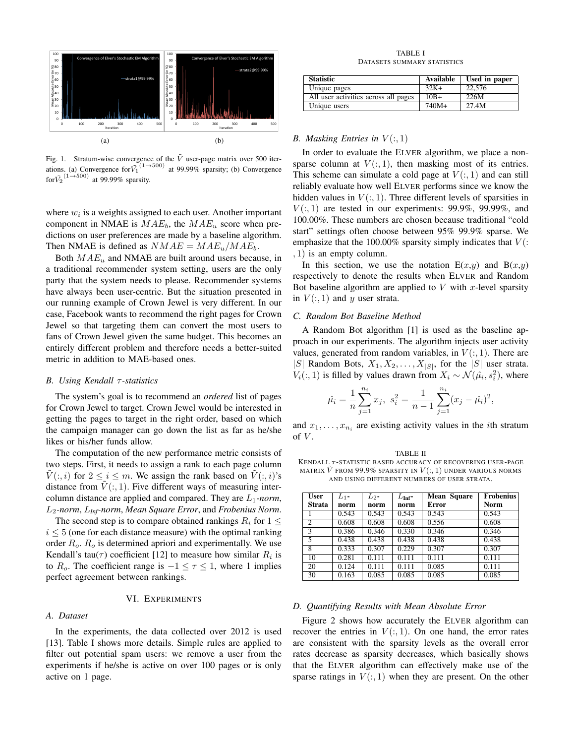

Fig. 1. Stratum-wise convergence of the  $\tilde{V}$  user-page matrix over 500 iterations. (a) Convergence for  $V_1^{(1\rightarrow 500)}$  at 99.99% sparsity; (b) Convergence for  $\tilde{V_2}^{(1\rightarrow 500)}$  at 99.99% sparsity.

where  $w_i$  is a weights assigned to each user. Another important component in NMAE is  $MAE<sub>b</sub>$ , the  $MAE<sub>u</sub>$  score when predictions on user preferences are made by a baseline algorithm. Then NMAE is defined as  $NMAE = MAE_u/MAE_b$ .

Both  $MAE_u$  and NMAE are built around users because, in a traditional recommender system setting, users are the only party that the system needs to please. Recommender systems have always been user-centric. But the situation presented in our running example of Crown Jewel is very different. In our case, Facebook wants to recommend the right pages for Crown Jewel so that targeting them can convert the most users to fans of Crown Jewel given the same budget. This becomes an entirely different problem and therefore needs a better-suited metric in addition to MAE-based ones.

#### *B. Using Kendall* τ *-statistics*

The system's goal is to recommend an *ordered* list of pages for Crown Jewel to target. Crown Jewel would be interested in getting the pages to target in the right order, based on which the campaign manager can go down the list as far as he/she likes or his/her funds allow.

The computation of the new performance metric consists of two steps. First, it needs to assign a rank to each page column  $V(:, i)$  for  $2 \le i \le m$ . We assign the rank based on  $V(:, i)$ 's distance from  $V(:, 1)$ . Five different ways of measuring intercolumn distance are applied and compared. They are  $L_1$ *-norm*, L2*-norm*, L*Inf-norm*, *Mean Square Error*, and *Frobenius Norm*.

The second step is to compare obtained rankings  $R_i$  for  $1 \leq$  $i \leq 5$  (one for each distance measure) with the optimal ranking order  $R_o$ .  $R_o$  is determined apriori and experimentally. We use Kendall's tau( $\tau$ ) coefficient [12] to measure how similar  $R_i$  is to  $R_o$ . The coefficient range is  $-1 \leq \tau \leq 1$ , where 1 implies perfect agreement between rankings.

#### VI. EXPERIMENTS

## *A. Dataset*

In the experiments, the data collected over 2012 is used [13]. Table I shows more details. Simple rules are applied to filter out potential spam users: we remove a user from the experiments if he/she is active on over 100 pages or is only active on 1 page.

TABLE I DATASETS SUMMARY STATISTICS

| <b>Statistic</b>                     | <b>Available</b> | Used in paper |
|--------------------------------------|------------------|---------------|
| Unique pages                         | $32K+$           | 22,576        |
| All user activities across all pages | $10B+$           | 226M          |
| Unique users                         | $740M+$          | 27.4M         |

## *B. Masking Entries in*  $V(:, 1)$

In order to evaluate the ELVER algorithm, we place a nonsparse column at  $V(:, 1)$ , then masking most of its entries. This scheme can simulate a cold page at  $V(:, 1)$  and can still reliably evaluate how well ELVER performs since we know the hidden values in  $V(:, 1)$ . Three different levels of sparsities in  $V(:, 1)$  are tested in our experiments: 99.9%, 99.99%, and 100.00%. These numbers are chosen because traditional "cold start" settings often choose between 95% 99.9% sparse. We emphasize that the 100.00% sparsity simply indicates that  $V($ : , 1) is an empty column.

In this section, we use the notation  $E(x,y)$  and  $B(x,y)$ respectively to denote the results when ELVER and Random Bot baseline algorithm are applied to  $V$  with x-level sparsity in  $V(:, 1)$  and y user strata.

## *C. Random Bot Baseline Method*

A Random Bot algorithm [1] is used as the baseline approach in our experiments. The algorithm injects user activity values, generated from random variables, in  $V(:, 1)$ . There are |S| Random Bots,  $X_1, X_2, \ldots, X_{|S|}$ , for the |S| user strata.  $V_i(:, 1)$  is filled by values drawn from  $X_i \sim \mathcal{N}(\hat{\mu}_i, s_i^2)$ , where

$$
\hat{\mu}_i = \frac{1}{n} \sum_{j=1}^{n_i} x_j, \ s_i^2 = \frac{1}{n-1} \sum_{j=1}^{n_i} (x_j - \hat{\mu}_i)^2,
$$

and  $x_1, \ldots, x_{n_i}$  are existing activity values in the *i*th stratum of  $V$ .

TABLE II KENDALL  $\tau$ -STATISTIC BASED ACCURACY OF RECOVERING USER-PAGE MATRIX  $\tilde{V}$  from 99.9% sparsity in  $V(:, 1)$  under various norms AND USING DIFFERENT NUMBERS OF USER STRATA.

| <b>User</b>   | $L_1$ - | $L_2$ - | $L_{\text{Inf}}$ - | Mean Square | <b>Frobenius</b> |
|---------------|---------|---------|--------------------|-------------|------------------|
| <b>Strata</b> | norm    | norm    | norm               | Error       | <b>Norm</b>      |
|               | 0.543   | 0.543   | 0.543              | 0.543       | 0.543            |
| 2             | 0.608   | 0.608   | 0.608              | 0.556       | 0.608            |
| 3             | 0.386   | 0.346   | 0.330              | 0.346       | 0.346            |
| 5.            | 0.438   | 0.438   | 0.438              | 0.438       | 0.438            |
| 8             | 0.333   | 0.307   | 0.229              | 0.307       | 0.307            |
| 10            | 0.281   | 0.111   | 0.111              | 0.111       | 0.111            |
| 20            | 0.124   | 0.111   | 0.111              | 0.085       | 0.111            |
| 30            | 0.163   | 0.085   | 0.085              | 0.085       | 0.085            |

## *D. Quantifying Results with Mean Absolute Error*

Figure 2 shows how accurately the ELVER algorithm can recover the entries in  $V(:, 1)$ . On one hand, the error rates are consistent with the sparsity levels as the overall error rates decrease as sparsity decreases, which basically shows that the ELVER algorithm can effectively make use of the sparse ratings in  $V(:, 1)$  when they are present. On the other